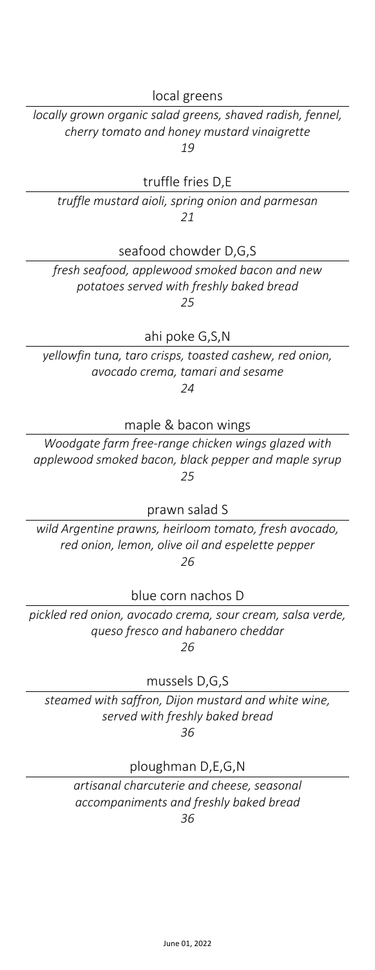local greens

*locally grown organic salad greens, shaved radish, fennel, cherry tomato and honey mustard vinaigrette 19*

truffle fries D,E

*truffle mustard aioli, spring onion and parmesan 21*

seafood chowder D,G,S

*fresh seafood, applewood smoked bacon and new potatoes served with freshly baked bread 25*

ahi poke G,S,N

*yellowfin tuna, taro crisps, toasted cashew, red onion, avocado crema, tamari and sesame 24*

maple & bacon wings

*Woodgate farm free-range chicken wings glazed with applewood smoked bacon, black pepper and maple syrup 25*

prawn salad S

*wild Argentine prawns, heirloom tomato, fresh avocado, red onion, lemon, olive oil and espelette pepper 26*

blue corn nachos D

*pickled red onion, avocado crema, sour cream, salsa verde, queso fresco and habanero cheddar 26*

mussels D,G,S

*steamed with saffron, Dijon mustard and white wine, served with freshly baked bread 36*

ploughman D,E,G,N

*artisanal charcuterie and cheese, seasonal accompaniments and freshly baked bread 36*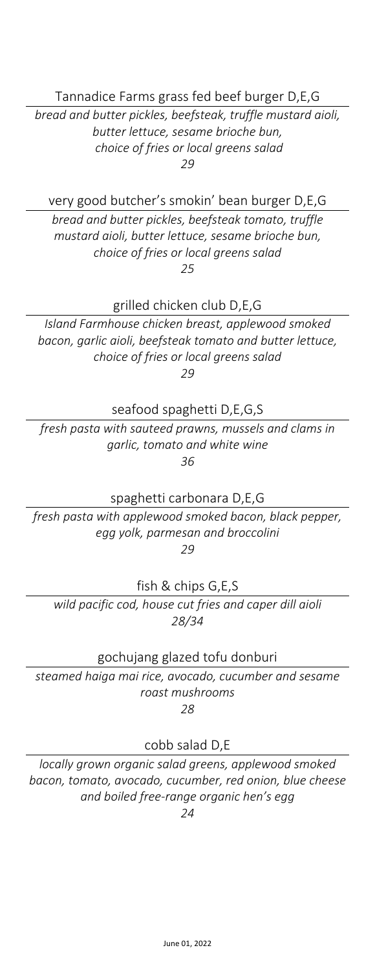Tannadice Farms grass fed beef burger D,E,G

*bread and butter pickles, beefsteak, truffle mustard aioli, butter lettuce, sesame brioche bun, choice of fries or local greens salad 29*

very good butcher's smokin' bean burger D,E,G

*bread and butter pickles, beefsteak tomato, truffle mustard aioli, butter lettuce, sesame brioche bun, choice of fries or local greens salad 25*

grilled chicken club D,E,G

*Island Farmhouse chicken breast, applewood smoked bacon, garlic aioli, beefsteak tomato and butter lettuce, choice of fries or local greens salad 29*

seafood spaghetti D,E,G,S

*fresh pasta with sauteed prawns, mussels and clams in garlic, tomato and white wine 36*

spaghetti carbonara D,E,G

*fresh pasta with applewood smoked bacon, black pepper, egg yolk, parmesan and broccolini 29*

fish & chips G,E,S

*wild pacific cod, house cut fries and caper dill aioli 28/34*

gochujang glazed tofu donburi

*steamed haiga mai rice, avocado, cucumber and sesame roast mushrooms 28*

cobb salad D,E

*locally grown organic salad greens, applewood smoked bacon, tomato, avocado, cucumber, red onion, blue cheese and boiled free-range organic hen's egg*

*24*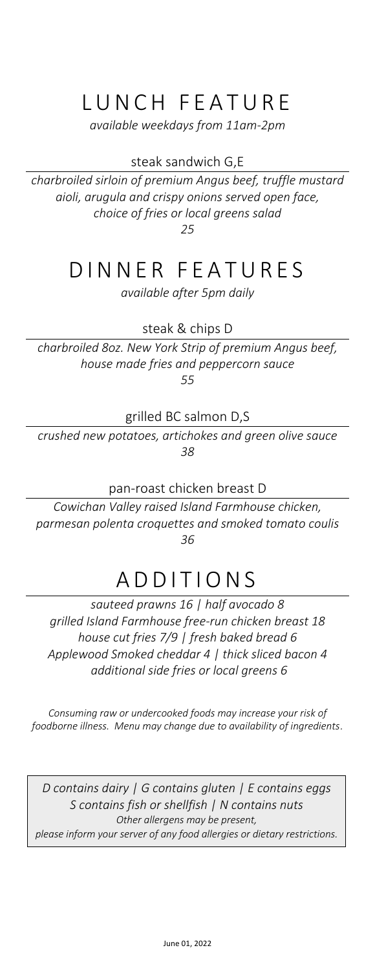## LUNCH FEATURE

*available weekdays from 11am-2pm*

### steak sandwich G,E

*charbroiled sirloin of premium Angus beef, truffle mustard aioli, arugula and crispy onions served open face, choice of fries or local greens salad*

*25*

## DINNER FEATURES

*available after 5pm daily*

steak & chips D

*charbroiled 8oz. New York Strip of premium Angus beef, house made fries and peppercorn sauce 55*

grilled BC salmon D,S

*crushed new potatoes, artichokes and green olive sauce 38*

pan-roast chicken breast D

*Cowichan Valley raised Island Farmhouse chicken, parmesan polenta croquettes and smoked tomato coulis 36*

# ADDITIONS

*sauteed prawns 16 | half avocado 8 grilled Island Farmhouse free-run chicken breast 18 house cut fries 7/9 | fresh baked bread 6 Applewood Smoked cheddar 4 | thick sliced bacon 4 additional side fries or local greens 6*

*Consuming raw or undercooked foods may increase your risk of foodborne illness. Menu may change due to availability of ingredients.*

*D contains dairy | G contains gluten | E contains eggs S contains fish or shellfish | N contains nuts Other allergens may be present, please inform your server of any food allergies or dietary restrictions.*